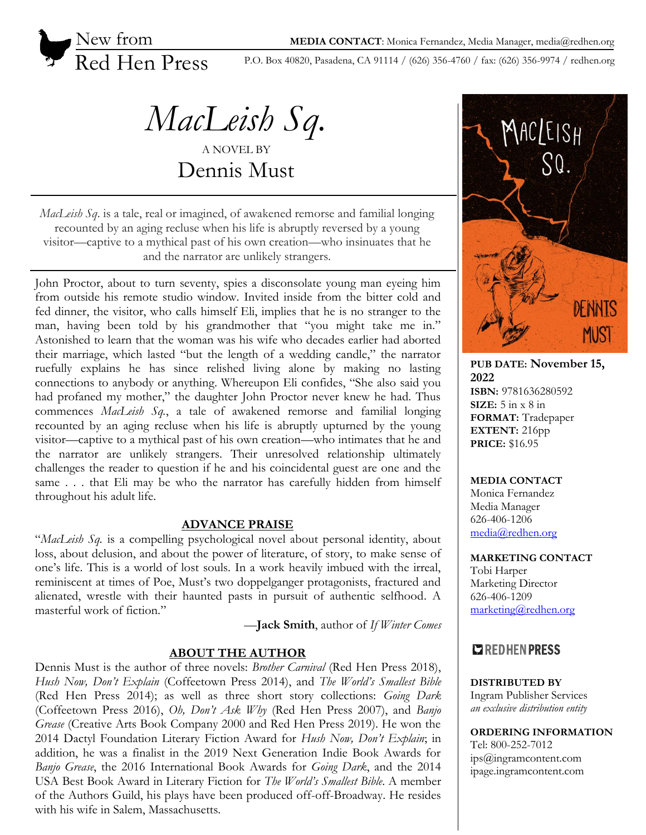

P.O. Box 40820, Pasadena, CA 91114 / (626) 356-4760 / fax: (626) 356-9974 / redhen.org

*MacLeish Sq.* A NOVEL BY

Dennis Must

*MacLeish Sq*. is a tale, real or imagined, of awakened remorse and familial longing recounted by an aging recluse when his life is abruptly reversed by a young visitor—captive to a mythical past of his own creation—who insinuates that he and the narrator are unlikely strangers.

John Proctor, about to turn seventy, spies a disconsolate young man eyeing him from outside his remote studio window. Invited inside from the bitter cold and fed dinner, the visitor, who calls himself Eli, implies that he is no stranger to the man, having been told by his grandmother that "you might take me in." Astonished to learn that the woman was his wife who decades earlier had aborted their marriage, which lasted "but the length of a wedding candle," the narrator ruefully explains he has since relished living alone by making no lasting connections to anybody or anything. Whereupon Eli confides, "She also said you had profaned my mother," the daughter John Proctor never knew he had. Thus commences *MacLeish Sq.*, a tale of awakened remorse and familial longing recounted by an aging recluse when his life is abruptly upturned by the young visitor—captive to a mythical past of his own creation—who intimates that he and the narrator are unlikely strangers. Their unresolved relationship ultimately challenges the reader to question if he and his coincidental guest are one and the same . . . that Eli may be who the narrator has carefully hidden from himself throughout his adult life.

### **ADVANCE PRAISE**

"*MacLeish Sq.* is a compelling psychological novel about personal identity, about loss, about delusion, and about the power of literature, of story, to make sense of one's life. This is a world of lost souls. In a work heavily imbued with the irreal, reminiscent at times of Poe, Must's two doppelganger protagonists, fractured and alienated, wrestle with their haunted pasts in pursuit of authentic selfhood. A masterful work of fiction."

—**Jack Smith**, author of *If Winter Comes*

### **ABOUT THE AUTHOR**

Dennis Must is the author of three novels: *Brother Carnival* (Red Hen Press 2018), *Hush Now, Don't Explain* (Coffeetown Press 2014), and *The World's Smallest Bible* (Red Hen Press 2014); as well as three short story collections: *Going Dark* (Coffeetown Press 2016), *Oh, Don't Ask Why* (Red Hen Press 2007), and *Banjo Grease* (Creative Arts Book Company 2000 and Red Hen Press 2019). He won the 2014 Dactyl Foundation Literary Fiction Award for *Hush Now, Don't Explain*; in addition, he was a finalist in the 2019 Next Generation Indie Book Awards for *Banjo Grease*, the 2016 International Book Awards for *Going Dark*, and the 2014 USA Best Book Award in Literary Fiction for *The World's Smallest Bible*. A member of the Authors Guild, his plays have been produced off-off-Broadway. He resides with his wife in Salem, Massachusetts.



**PUB DATE: November 15, 2022 ISBN:** 9781636280592 **SIZE:** 5 in x 8 in **FORMAT:** Tradepaper **EXTENT:** 216pp **PRICE:** \$16.95

#### **MEDIA CONTACT**

Monica Fernandez Media Manager 626-406-1206 [media@redhen.org](mailto:media@redhen.org)

#### **MARKETING CONTACT**

Tobi Harper Marketing Director 626-406-1209 [marketing@redhen.org](mailto:marketing@redhen.org)

# **EXPEDHENPRESS**

**DISTRIBUTED BY** Ingram Publisher Services *an exclusive distribution entity*

**ORDERING INFORMATION** Tel: 800-252-7012 ips@ingramcontent.com ipage.ingramcontent.com